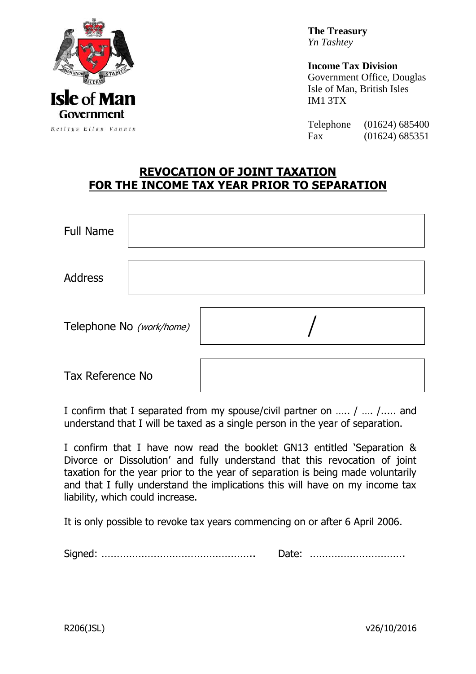

**The Treasury** *Yn Tashtey*

**Income Tax Division** Government Office, Douglas Isle of Man, British Isles IM1 3TX

Telephone (01624) 685400 Fax (01624) 685351

## **REVOCATION OF JOINT TAXATION FOR THE INCOME TAX YEAR PRIOR TO SEPARATION**

| Full Name                |  |  |
|--------------------------|--|--|
| Address                  |  |  |
| Telephone No (work/home) |  |  |
| Tax Reference No         |  |  |

I confirm that I separated from my spouse/civil partner on ….. / …. /..... and understand that I will be taxed as a single person in the year of separation.

I confirm that I have now read the booklet GN13 entitled 'Separation & Divorce or Dissolution' and fully understand that this revocation of joint taxation for the year prior to the year of separation is being made voluntarily and that I fully understand the implications this will have on my income tax liability, which could increase.

It is only possible to revoke tax years commencing on or after 6 April 2006.

Signed: ………………………………………….. Date: ………………………….